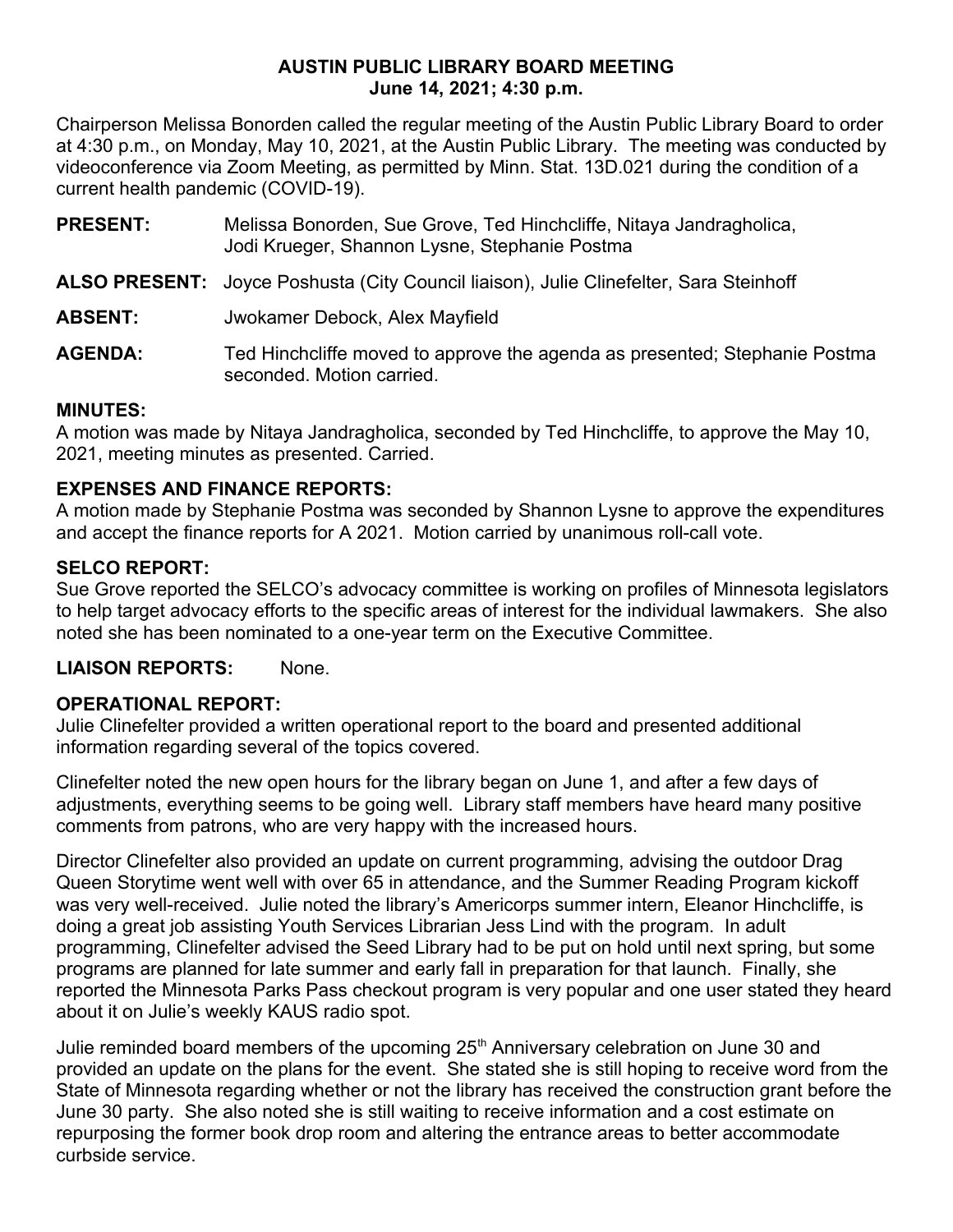#### **AUSTIN PUBLIC LIBRARY BOARD MEETING June 14, 2021; 4:30 p.m.**

Chairperson Melissa Bonorden called the regular meeting of the Austin Public Library Board to order at 4:30 p.m., on Monday, May 10, 2021, at the Austin Public Library. The meeting was conducted by videoconference via Zoom Meeting, as permitted by Minn. Stat. 13D.021 during the condition of a current health pandemic (COVID-19).

- **PRESENT:** Melissa Bonorden, Sue Grove, Ted Hinchcliffe, Nitaya Jandragholica, Jodi Krueger, Shannon Lysne, Stephanie Postma
- **ALSO PRESENT:** Joyce Poshusta (City Council liaison), Julie Clinefelter, Sara Steinhoff

**ABSENT:** Jwokamer Debock, Alex Mayfield

**AGENDA:** Ted Hinchcliffe moved to approve the agenda as presented; Stephanie Postma seconded. Motion carried.

# **MINUTES:**

A motion was made by Nitaya Jandragholica, seconded by Ted Hinchcliffe, to approve the May 10, 2021, meeting minutes as presented. Carried.

## **EXPENSES AND FINANCE REPORTS:**

A motion made by Stephanie Postma was seconded by Shannon Lysne to approve the expenditures and accept the finance reports for A 2021. Motion carried by unanimous roll-call vote.

## **SELCO REPORT:**

Sue Grove reported the SELCO's advocacy committee is working on profiles of Minnesota legislators to help target advocacy efforts to the specific areas of interest for the individual lawmakers. She also noted she has been nominated to a one-year term on the Executive Committee.

**LIAISON REPORTS:** None.

## **OPERATIONAL REPORT:**

Julie Clinefelter provided a written operational report to the board and presented additional information regarding several of the topics covered.

Clinefelter noted the new open hours for the library began on June 1, and after a few days of adjustments, everything seems to be going well. Library staff members have heard many positive comments from patrons, who are very happy with the increased hours.

Director Clinefelter also provided an update on current programming, advising the outdoor Drag Queen Storytime went well with over 65 in attendance, and the Summer Reading Program kickoff was very well-received. Julie noted the library's Americorps summer intern, Eleanor Hinchcliffe, is doing a great job assisting Youth Services Librarian Jess Lind with the program. In adult programming, Clinefelter advised the Seed Library had to be put on hold until next spring, but some programs are planned for late summer and early fall in preparation for that launch. Finally, she reported the Minnesota Parks Pass checkout program is very popular and one user stated they heard about it on Julie's weekly KAUS radio spot.

Julie reminded board members of the upcoming 25<sup>th</sup> Anniversary celebration on June 30 and provided an update on the plans for the event. She stated she is still hoping to receive word from the State of Minnesota regarding whether or not the library has received the construction grant before the June 30 party. She also noted she is still waiting to receive information and a cost estimate on repurposing the former book drop room and altering the entrance areas to better accommodate curbside service.